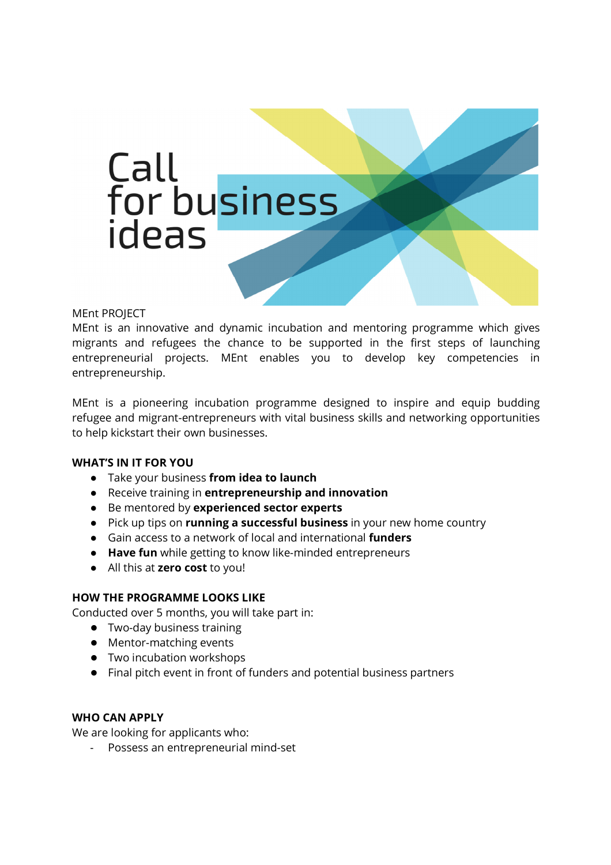

### MEnt PROJECT

MEnt is an innovative and dynamic incubation and mentoring programme which gives migrants and refugees the chance to be supported in the first steps of launching entrepreneurial projects. MEnt enables you to develop key competencies in entrepreneurship.

MEnt is a pioneering incubation programme designed to inspire and equip budding refugee and migrant-entrepreneurs with vital business skills and networking opportunities to help kickstart their own businesses.

### **WHAT'S IN IT FOR YOU**

- Take your business **from idea to launch**
- Receive training in **entrepreneurship and innovation**
- Be mentored by **experienced sector experts**
- Pick up tips on **running a successful business** in your new home country
- Gain access to a network of local and international **funders**
- **Have fun** while getting to know like-minded entrepreneurs
- All this at **zero cost** to you!

### **HOW THE PROGRAMME LOOKS LIKE**

Conducted over 5 months, you will take part in:

- Two-day business training
- Mentor-matching events
- Two incubation workshops
- Final pitch event in front of funders and potential business partners

### **WHO CAN APPLY**

We are looking for applicants who:

- Possess an entrepreneurial mind-set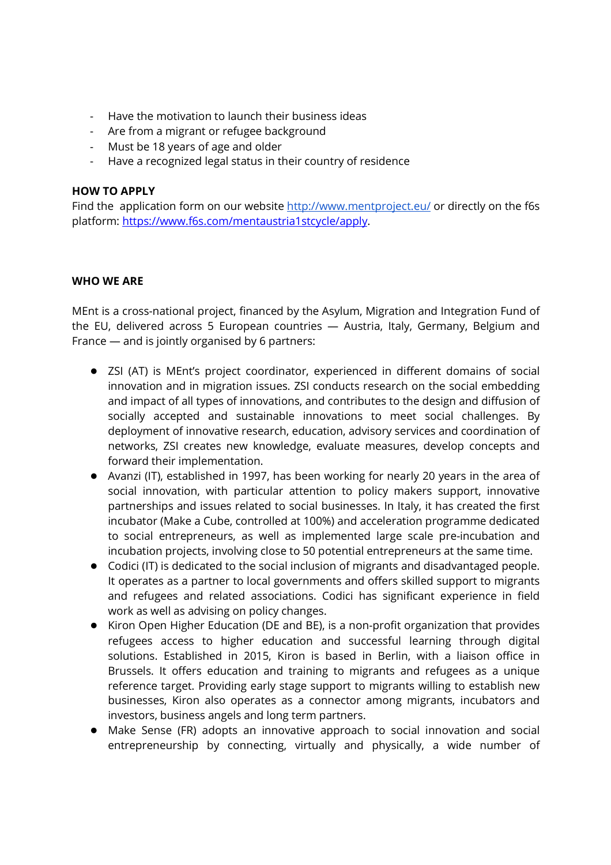- Have the motivation to launch their business ideas
- Are from a migrant or refugee background
- Must be 18 years of age and older
- Have a recognized legal status in their country of residence

### **HOW TO APPLY**

Find the application form on our website http://www.mentproject.eu/ or directly on the f6s platform: https://www.f6s.com/mentaustria1stcycle/apply.

### **WHO WE ARE**

MEnt is a cross-national project, financed by the Asylum, Migration and Integration Fund of the EU, delivered across 5 European countries — Austria, Italy, Germany, Belgium and France — and is jointly organised by 6 partners:

- ZSI (AT) is MEnt's project coordinator, experienced in different domains of social innovation and in migration issues. ZSI conducts research on the social embedding and impact of all types of innovations, and contributes to the design and diffusion of socially accepted and sustainable innovations to meet social challenges. By deployment of innovative research, education, advisory services and coordination of networks, ZSI creates new knowledge, evaluate measures, develop concepts and forward their implementation.
- Avanzi (IT), established in 1997, has been working for nearly 20 years in the area of social innovation, with particular attention to policy makers support, innovative partnerships and issues related to social businesses. In Italy, it has created the first incubator (Make a Cube, controlled at 100%) and acceleration programme dedicated to social entrepreneurs, as well as implemented large scale pre-incubation and incubation projects, involving close to 50 potential entrepreneurs at the same time.
- Codici (IT) is dedicated to the social inclusion of migrants and disadvantaged people. It operates as a partner to local governments and offers skilled support to migrants and refugees and related associations. Codici has significant experience in field work as well as advising on policy changes.
- Kiron Open Higher Education (DE and BE), is a non-profit organization that provides refugees access to higher education and successful learning through digital solutions. Established in 2015, Kiron is based in Berlin, with a liaison office in Brussels. It offers education and training to migrants and refugees as a unique reference target. Providing early stage support to migrants willing to establish new businesses, Kiron also operates as a connector among migrants, incubators and investors, business angels and long term partners.
- Make Sense (FR) adopts an innovative approach to social innovation and social entrepreneurship by connecting, virtually and physically, a wide number of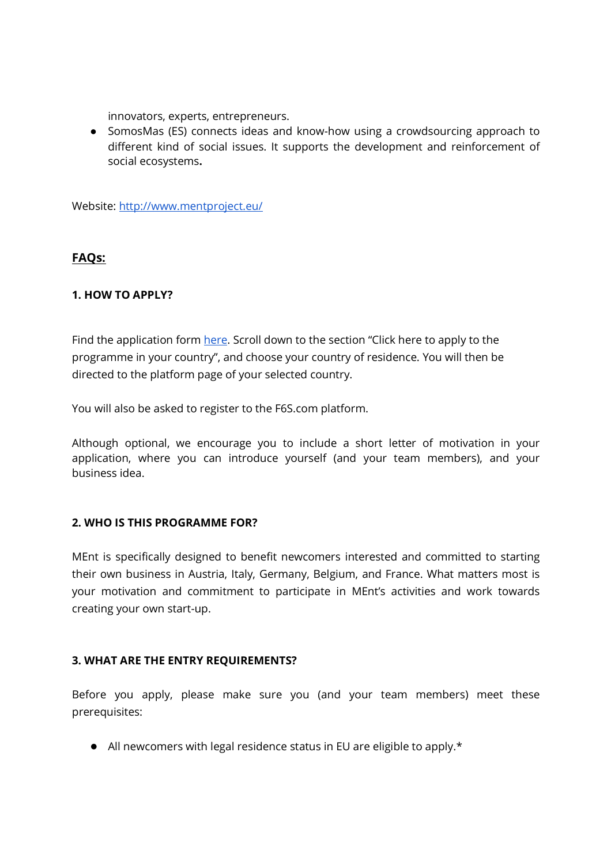innovators, experts, entrepreneurs.

● SomosMas (ES) connects ideas and know-how using a crowdsourcing approach to different kind of social issues. It supports the development and reinforcement of social ecosystems**.** 

Website: http://www.mentproject.eu/

### **FAQs:**

### **1. HOW TO APPLY?**

Find the application form here. Scroll down to the section "Click here to apply to the programme in your country", and choose your country of residence. You will then be directed to the platform page of your selected country.

You will also be asked to register to the F6S.com platform.

Although optional, we encourage you to include a short letter of motivation in your application, where you can introduce yourself (and your team members), and your business idea.

### **2. WHO IS THIS PROGRAMME FOR?**

MEnt is specifically designed to benefit newcomers interested and committed to starting their own business in Austria, Italy, Germany, Belgium, and France. What matters most is your motivation and commitment to participate in MEnt's activities and work towards creating your own start-up.

### **3. WHAT ARE THE ENTRY REQUIREMENTS?**

Before you apply, please make sure you (and your team members) meet these prerequisites:

● All newcomers with legal residence status in EU are eligible to apply.\*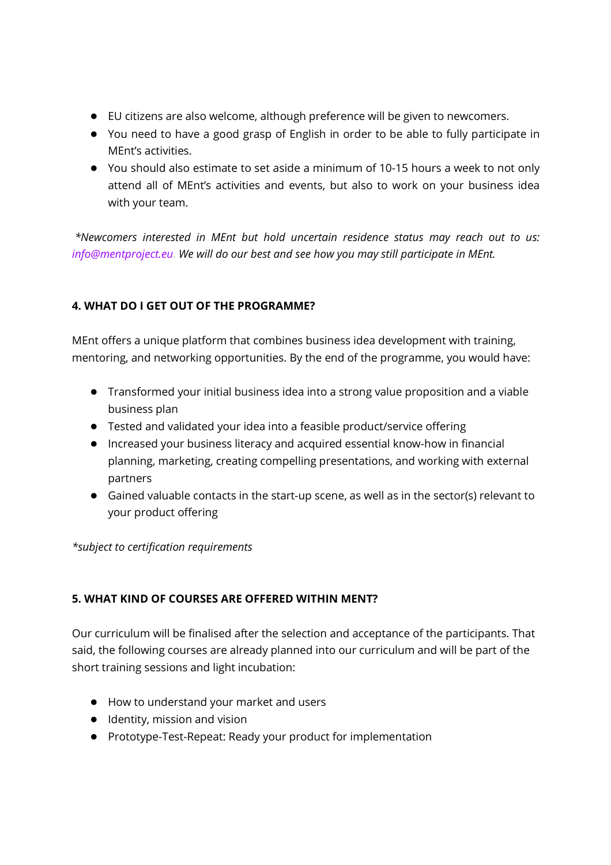- EU citizens are also welcome, although preference will be given to newcomers.
- You need to have a good grasp of English in order to be able to fully participate in MEnt's activities.
- You should also estimate to set aside a minimum of 10-15 hours a week to not only attend all of MEnt's activities and events, but also to work on your business idea with your team.

 *\*Newcomers interested in MEnt but hold uncertain residence status may reach out to us: info@mentproject.eu. We will do our best and see how you may still participate in MEnt.* 

# **4. WHAT DO I GET OUT OF THE PROGRAMME?**

MEnt offers a unique platform that combines business idea development with training, mentoring, and networking opportunities. By the end of the programme, you would have:

- Transformed your initial business idea into a strong value proposition and a viable business plan
- Tested and validated your idea into a feasible product/service offering
- Increased your business literacy and acquired essential know-how in financial planning, marketing, creating compelling presentations, and working with external partners
- Gained valuable contacts in the start-up scene, as well as in the sector(s) relevant to your product offering

*\*subject to certification requirements*

## **5. WHAT KIND OF COURSES ARE OFFERED WITHIN MENT?**

Our curriculum will be finalised after the selection and acceptance of the participants. That said, the following courses are already planned into our curriculum and will be part of the short training sessions and light incubation:

- How to understand your market and users
- Identity, mission and vision
- Prototype-Test-Repeat: Ready your product for implementation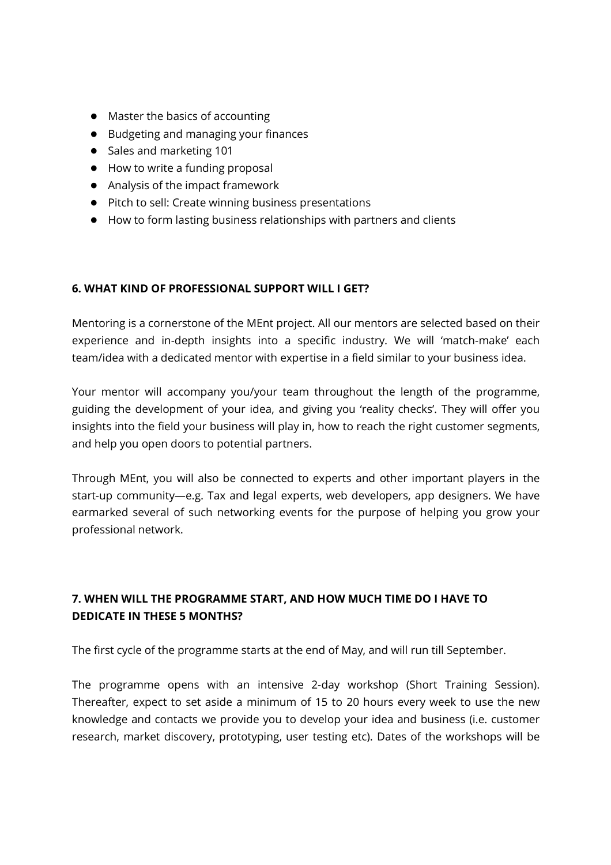- Master the basics of accounting
- Budgeting and managing your finances
- Sales and marketing 101
- How to write a funding proposal
- Analysis of the impact framework
- Pitch to sell: Create winning business presentations
- How to form lasting business relationships with partners and clients

### **6. WHAT KIND OF PROFESSIONAL SUPPORT WILL I GET?**

Mentoring is a cornerstone of the MEnt project. All our mentors are selected based on their experience and in-depth insights into a specific industry. We will 'match-make' each team/idea with a dedicated mentor with expertise in a field similar to your business idea.

Your mentor will accompany you/your team throughout the length of the programme, guiding the development of your idea, and giving you 'reality checks'. They will offer you insights into the field your business will play in, how to reach the right customer segments, and help you open doors to potential partners.

Through MEnt, you will also be connected to experts and other important players in the start-up community—e.g. Tax and legal experts, web developers, app designers. We have earmarked several of such networking events for the purpose of helping you grow your professional network.

# **7. WHEN WILL THE PROGRAMME START, AND HOW MUCH TIME DO I HAVE TO DEDICATE IN THESE 5 MONTHS?**

The first cycle of the programme starts at the end of May, and will run till September.

The programme opens with an intensive 2-day workshop (Short Training Session). Thereafter, expect to set aside a minimum of 15 to 20 hours every week to use the new knowledge and contacts we provide you to develop your idea and business (i.e. customer research, market discovery, prototyping, user testing etc). Dates of the workshops will be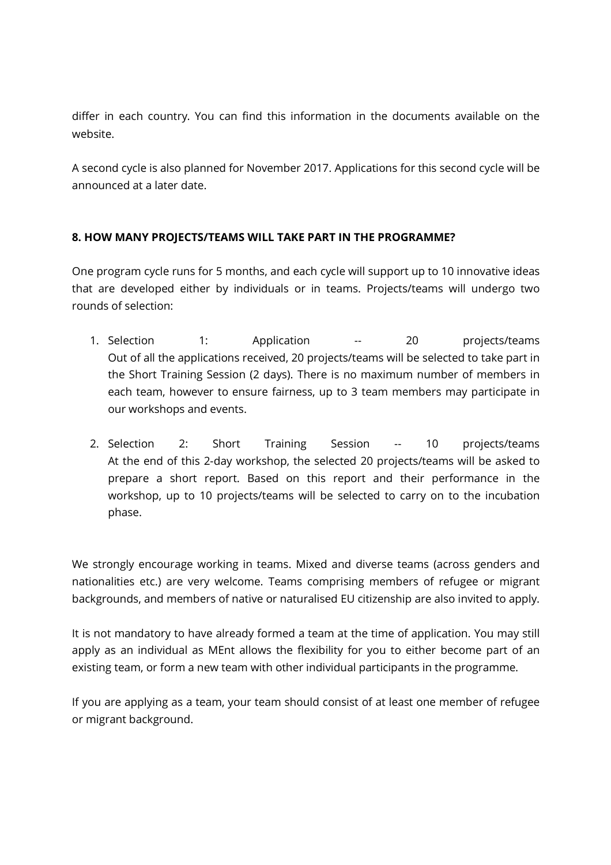differ in each country. You can find this information in the documents available on the website.

A second cycle is also planned for November 2017. Applications for this second cycle will be announced at a later date.

## **8. HOW MANY PROJECTS/TEAMS WILL TAKE PART IN THE PROGRAMME?**

One program cycle runs for 5 months, and each cycle will support up to 10 innovative ideas that are developed either by individuals or in teams. Projects/teams will undergo two rounds of selection:

- 1. Selection 1: Application -- 20 projects/teams Out of all the applications received, 20 projects/teams will be selected to take part in the Short Training Session (2 days). There is no maximum number of members in each team, however to ensure fairness, up to 3 team members may participate in our workshops and events.
- 2. Selection 2: Short Training Session -- 10 projects/teams At the end of this 2-day workshop, the selected 20 projects/teams will be asked to prepare a short report. Based on this report and their performance in the workshop, up to 10 projects/teams will be selected to carry on to the incubation phase.

We strongly encourage working in teams. Mixed and diverse teams (across genders and nationalities etc.) are very welcome. Teams comprising members of refugee or migrant backgrounds, and members of native or naturalised EU citizenship are also invited to apply.

It is not mandatory to have already formed a team at the time of application. You may still apply as an individual as MEnt allows the flexibility for you to either become part of an existing team, or form a new team with other individual participants in the programme.

If you are applying as a team, your team should consist of at least one member of refugee or migrant background.